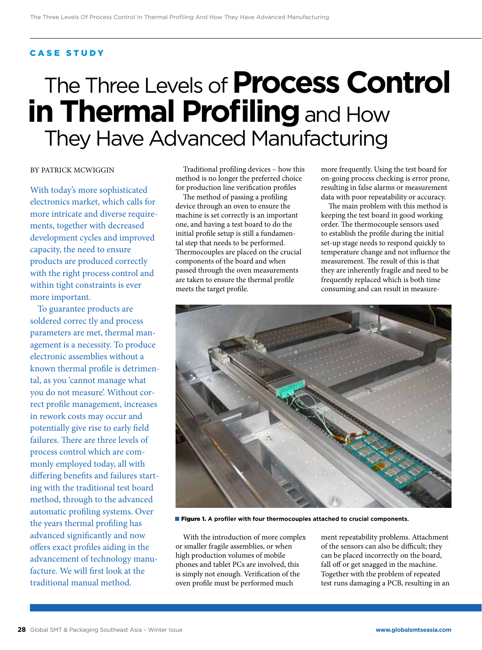## CASE STUDY

# The Three Levels of **Process Control in Thermal Profiling** and How They Have Advanced Manufacturing

## BY PATRICK MCWIGGIN

With today's more sophisticated electronics market, which calls for more intricate and diverse requirements, together with decreased development cycles and improved capacity, the need to ensure products are produced correctly with the right process control and within tight constraints is ever more important.

To guarantee products are soldered correc tly and process parameters are met, thermal management is a necessity. To produce electronic assemblies without a known thermal profile is detrimental, as you 'cannot manage what you do not measure'. Without correct profile management, increases in rework costs may occur and potentially give rise to early field failures. There are three levels of process control which are commonly employed today, all with differing benefits and failures starting with the traditional test board method, through to the advanced automatic profiling systems. Over the years thermal profiling has advanced significantly and now offers exact profiles aiding in the advancement of technology manufacture. We will first look at the traditional manual method.

Traditional profiling devices – how this method is no longer the preferred choice for production line verification profiles

The method of passing a profiling device through an oven to ensure the machine is set correctly is an important one, and having a test board to do the initial profile setup is still a fundamental step that needs to be performed. Thermocouples are placed on the crucial components of the board and when passed through the oven measurements are taken to ensure the thermal profile meets the target profile.

more frequently. Using the test board for on-going process checking is error prone, resulting in false alarms or measurement data with poor repeatability or accuracy.

The main problem with this method is keeping the test board in good working order. The thermocouple sensors used to establish the profile during the initial set-up stage needs to respond quickly to temperature change and not influence the measurement. The result of this is that they are inherently fragile and need to be frequently replaced which is both time consuming and can result in measure-



■ Figure 1. A profiler with four thermocouples attached to crucial components.

With the introduction of more complex or smaller fragile assemblies, or when high production volumes of mobile phones and tablet PCs are involved, this is simply not enough. Verification of the oven profile must be performed much

ment repeatability problems. Attachment of the sensors can also be difficult; they can be placed incorrectly on the board, fall off or get snagged in the machine. Together with the problem of repeated test runs damaging a PCB, resulting in an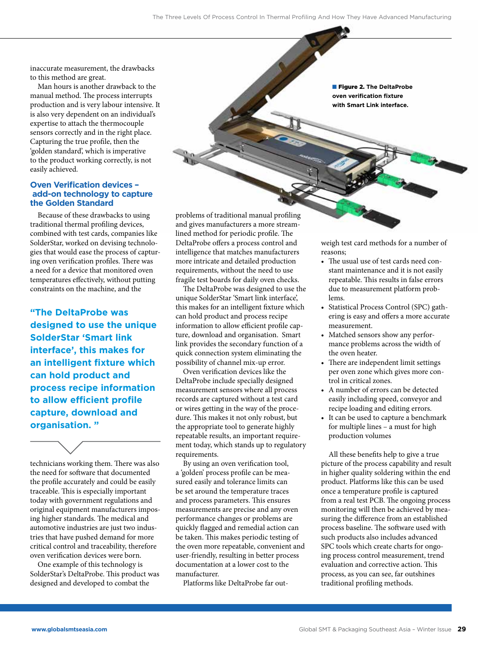inaccurate measurement, the drawbacks to this method are great.

Man hours is another drawback to the manual method. The process interrupts production and is very labour intensive. It is also very dependent on an individual's expertise to attach the thermocouple sensors correctly and in the right place. Capturing the true profile, then the 'golden standard', which is imperative to the product working correctly, is not easily achieved.

### **Oven Verification devices – add-on technology to capture the Golden Standard**

Because of these drawbacks to using traditional thermal profiling devices, combined with test cards, companies like SolderStar, worked on devising technologies that would ease the process of capturing oven verification profiles. There was a need for a device that monitored oven temperatures effectively, without putting constraints on the machine, and the

**"The DeltaProbe was designed to use the unique SolderStar 'Smart link interface', this makes for an intelligent fixture which can hold product and process recipe information to allow efficient profile capture, download and organisation. "**

technicians working them. There was also the need for software that documented the profile accurately and could be easily traceable. This is especially important today with government regulations and original equipment manufacturers imposing higher standards. The medical and automotive industries are just two industries that have pushed demand for more critical control and traceability, therefore oven verification devices were born.

One example of this technology is SolderStar's DeltaProbe. This product was designed and developed to combat the

problems of traditional manual profiling and gives manufacturers a more streamlined method for periodic profile. The DeltaProbe offers a process control and intelligence that matches manufacturers more intricate and detailed production requirements, without the need to use fragile test boards for daily oven checks.

The DeltaProbe was designed to use the unique SolderStar 'Smart link interface', this makes for an intelligent fixture which can hold product and process recipe information to allow efficient profile capture, download and organisation. Smart link provides the secondary function of a quick connection system eliminating the possibility of channel mix-up error.

Oven verification devices like the DeltaProbe include specially designed measurement sensors where all process records are captured without a test card or wires getting in the way of the procedure. This makes it not only robust, but the appropriate tool to generate highly repeatable results, an important requirement today, which stands up to regulatory requirements.

By using an oven verification tool, a 'golden' process profile can be measured easily and tolerance limits can be set around the temperature traces and process parameters. This ensures measurements are precise and any oven performance changes or problems are quickly flagged and remedial action can be taken. This makes periodic testing of the oven more repeatable, convenient and user-friendly, resulting in better process documentation at a lower cost to the manufacturer.

Platforms like DeltaProbe far out-

■ Figure 2. **The DeltaProbe oven verification fixture with Smart Link interface.**

weigh test card methods for a number of reasons;

- The usual use of test cards need constant maintenance and it is not easily repeatable. This results in false errors due to measurement platform problems.
- Statistical Process Control (SPC) gathering is easy and offers a more accurate measurement.
- Matched sensors show any performance problems across the width of the oven heater.
- There are independent limit settings per oven zone which gives more control in critical zones.
- A number of errors can be detected easily including speed, conveyor and recipe loading and editing errors.
- It can be used to capture a benchmark for multiple lines – a must for high production volumes

All these benefits help to give a true picture of the process capability and result in higher quality soldering within the end product. Platforms like this can be used once a temperature profile is captured from a real test PCB. The ongoing process monitoring will then be achieved by measuring the difference from an established process baseline. The software used with such products also includes advanced SPC tools which create charts for ongoing process control measurement, trend evaluation and corrective action. This process, as you can see, far outshines traditional profiling methods.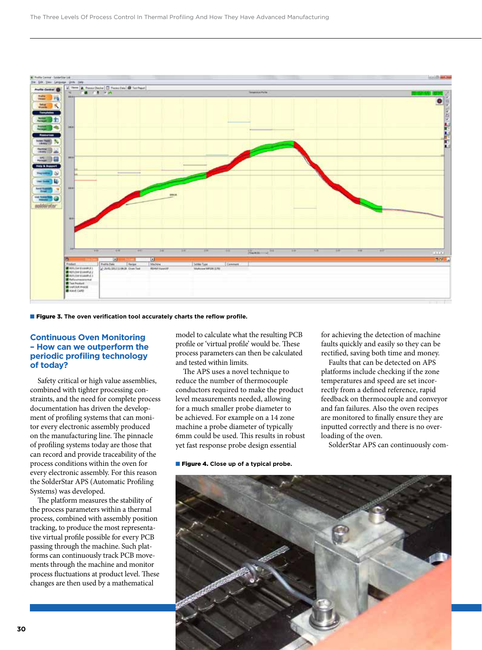

#### ■ Figure 3. The oven verification tool accurately charts the reflow profile.

### **Continuous Oven Monitoring – How can we outperform the periodic profiling technology of today?**

Safety critical or high value assemblies, combined with tighter processing constraints, and the need for complete process documentation has driven the development of profiling systems that can monitor every electronic assembly produced on the manufacturing line. The pinnacle of profiling systems today are those that can record and provide traceability of the process conditions within the oven for every electronic assembly. For this reason the SolderStar APS (Automatic Profiling Systems) was developed.

The platform measures the stability of the process parameters within a thermal process, combined with assembly position tracking, to produce the most representative virtual profile possible for every PCB passing through the machine. Such platforms can continuously track PCB movements through the machine and monitor process fluctuations at product level. These changes are then used by a mathematical

model to calculate what the resulting PCB profile or 'virtual profile' would be. These process parameters can then be calculated and tested within limits.

The APS uses a novel technique to reduce the number of thermocouple conductors required to make the product level measurements needed, allowing for a much smaller probe diameter to be achieved. For example on a 14 zone machine a probe diameter of typically 6mm could be used. This results in robust yet fast response probe design essential

#### ■ **Figure 4.** Close up of a typical probe.

for achieving the detection of machine faults quickly and easily so they can be rectified, saving both time and money.

Faults that can be detected on APS platforms include checking if the zone temperatures and speed are set incorrectly from a defined reference, rapid feedback on thermocouple and conveyor and fan failures. Also the oven recipes are monitored to finally ensure they are inputted correctly and there is no overloading of the oven.

SolderStar APS can continuously com-